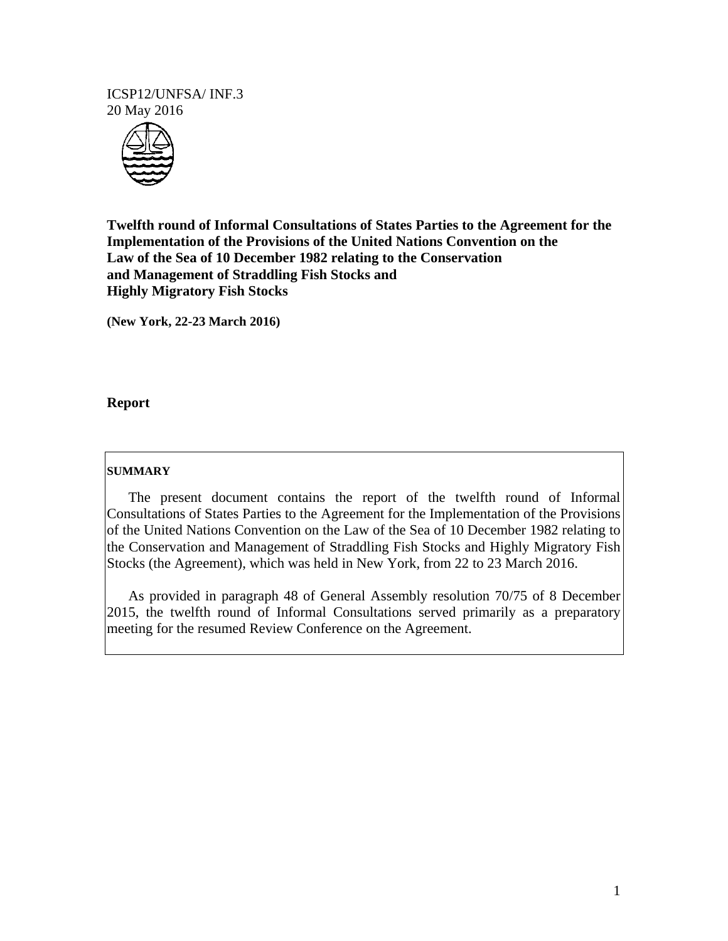#### ICSP12/UNFSA/ INF.3 20 May 2016



**Twelfth round of Informal Consultations of States Parties to the Agreement for the Implementation of the Provisions of the United Nations Convention on the Law of the Sea of 10 December 1982 relating to the Conservation and Management of Straddling Fish Stocks and Highly Migratory Fish Stocks** 

**(New York, 22-23 March 2016)** 

## **Report**

#### **SUMMARY**

 The present document contains the report of the twelfth round of Informal Consultations of States Parties to the Agreement for the Implementation of the Provisions of the United Nations Convention on the Law of the Sea of 10 December 1982 relating to the Conservation and Management of Straddling Fish Stocks and Highly Migratory Fish Stocks (the Agreement), which was held in New York, from 22 to 23 March 2016.

 As provided in paragraph 48 of General Assembly resolution 70/75 of 8 December 2015, the twelfth round of Informal Consultations served primarily as a preparatory meeting for the resumed Review Conference on the Agreement.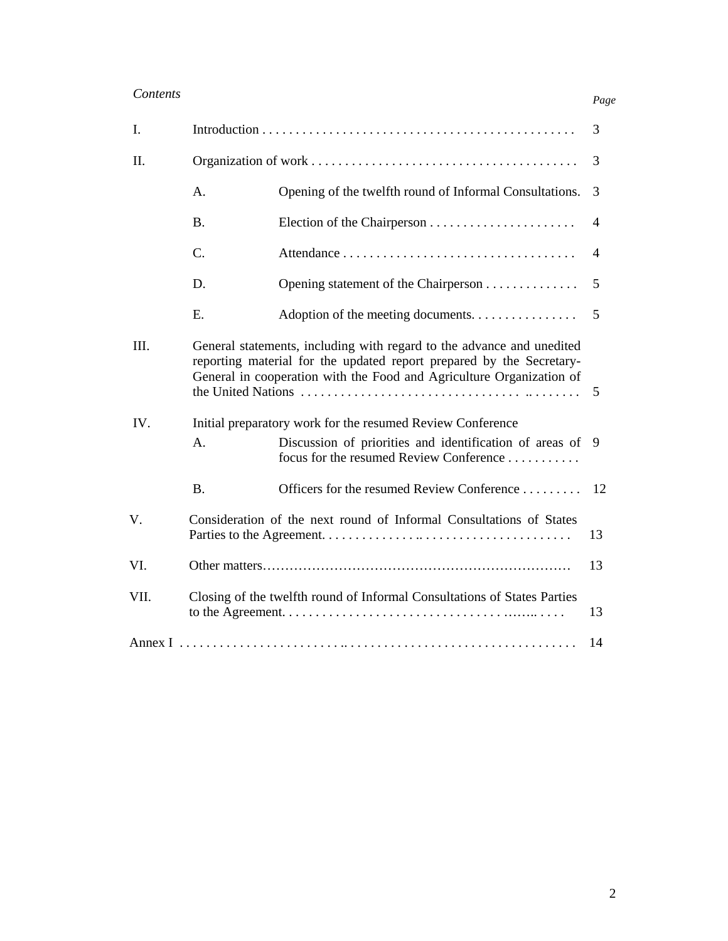# *Contents*

| $\mathbf{I}$ . | 3                                                                                                                                                                                                                          |                                                                                                    |                |
|----------------|----------------------------------------------------------------------------------------------------------------------------------------------------------------------------------------------------------------------------|----------------------------------------------------------------------------------------------------|----------------|
| II.            |                                                                                                                                                                                                                            |                                                                                                    | 3              |
|                | A.                                                                                                                                                                                                                         | Opening of the twelfth round of Informal Consultations.                                            | 3              |
|                | <b>B.</b>                                                                                                                                                                                                                  |                                                                                                    | $\overline{4}$ |
|                | C.                                                                                                                                                                                                                         |                                                                                                    | $\overline{4}$ |
|                | D.                                                                                                                                                                                                                         | Opening statement of the Chairperson                                                               | 5              |
|                | E.                                                                                                                                                                                                                         | Adoption of the meeting documents.                                                                 | 5              |
| III.           | General statements, including with regard to the advance and unedited<br>reporting material for the updated report prepared by the Secretary-<br>General in cooperation with the Food and Agriculture Organization of<br>5 |                                                                                                    |                |
| IV.            | Initial preparatory work for the resumed Review Conference                                                                                                                                                                 |                                                                                                    |                |
|                | A.                                                                                                                                                                                                                         | Discussion of priorities and identification of areas of<br>focus for the resumed Review Conference | 9              |
|                | <b>B.</b>                                                                                                                                                                                                                  | Officers for the resumed Review Conference                                                         | 12             |
| V.             | Consideration of the next round of Informal Consultations of States                                                                                                                                                        |                                                                                                    | 13             |
| VI.            |                                                                                                                                                                                                                            |                                                                                                    | 13             |
| VII.           | Closing of the twelfth round of Informal Consultations of States Parties                                                                                                                                                   |                                                                                                    | 13             |
| 14             |                                                                                                                                                                                                                            |                                                                                                    |                |

*Page*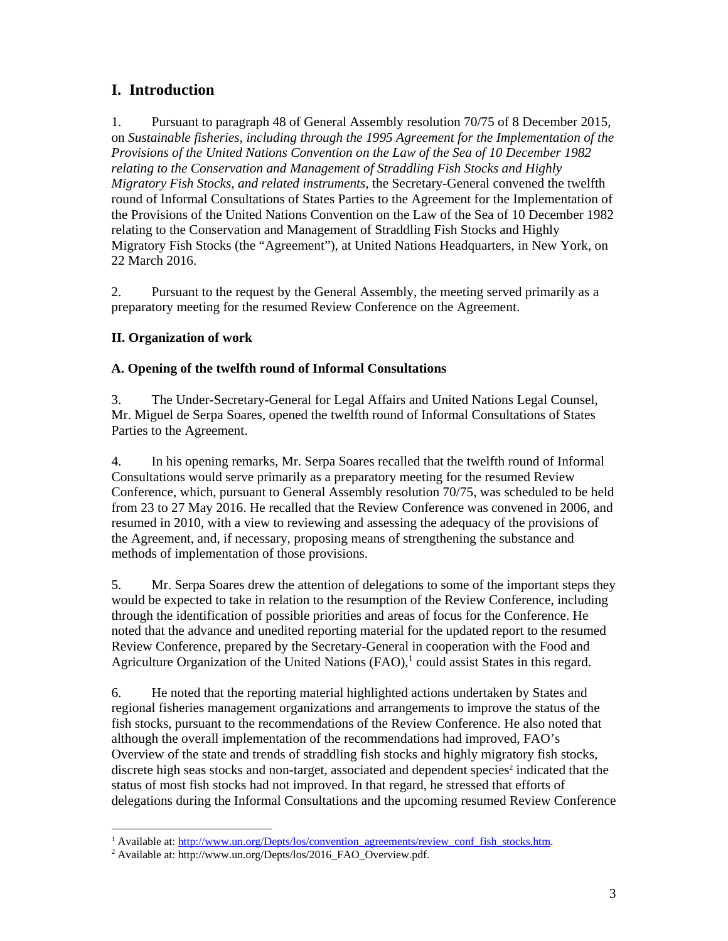# **I. Introduction**

1. Pursuant to paragraph 48 of General Assembly resolution 70/75 of 8 December 2015, on *Sustainable fisheries, including through the 1995 Agreement for the Implementation of the Provisions of the United Nations Convention on the Law of the Sea of 10 December 1982 relating to the Conservation and Management of Straddling Fish Stocks and Highly Migratory Fish Stocks, and related instruments,* the Secretary-General convened the twelfth round of Informal Consultations of States Parties to the Agreement for the Implementation of the Provisions of the United Nations Convention on the Law of the Sea of 10 December 1982 relating to the Conservation and Management of Straddling Fish Stocks and Highly Migratory Fish Stocks (the "Agreement"), at United Nations Headquarters, in New York, on 22 March 2016.

2. Pursuant to the request by the General Assembly, the meeting served primarily as a preparatory meeting for the resumed Review Conference on the Agreement.

# **II. Organization of work**

# **A. Opening of the twelfth round of Informal Consultations**

3. The Under-Secretary-General for Legal Affairs and United Nations Legal Counsel, Mr. Miguel de Serpa Soares, opened the twelfth round of Informal Consultations of States Parties to the Agreement.

4. In his opening remarks, Mr. Serpa Soares recalled that the twelfth round of Informal Consultations would serve primarily as a preparatory meeting for the resumed Review Conference, which, pursuant to General Assembly resolution 70/75, was scheduled to be held from 23 to 27 May 2016. He recalled that the Review Conference was convened in 2006, and resumed in 2010, with a view to reviewing and assessing the adequacy of the provisions of the Agreement, and, if necessary, proposing means of strengthening the substance and methods of implementation of those provisions.

5. Mr. Serpa Soares drew the attention of delegations to some of the important steps they would be expected to take in relation to the resumption of the Review Conference, including through the identification of possible priorities and areas of focus for the Conference. He noted that the advance and unedited reporting material for the updated report to the resumed Review Conference, prepared by the Secretary-General in cooperation with the Food and Agriculture Organization of the United Nations  $(FAO)$ ,<sup>1</sup> could assist States in this regard.

6. He noted that the reporting material highlighted actions undertaken by States and regional fisheries management organizations and arrangements to improve the status of the fish stocks, pursuant to the recommendations of the Review Conference. He also noted that although the overall implementation of the recommendations had improved, FAO's Overview of the state and trends of straddling fish stocks and highly migratory fish stocks, discrete high seas stocks and non-target, associated and dependent species<sup>2</sup> indicated that the status of most fish stocks had not improved. In that regard, he stressed that efforts of delegations during the Informal Consultations and the upcoming resumed Review Conference

-

<sup>&</sup>lt;sup>1</sup> Available at:  $\frac{http://www.un.org/Depts/los/convention_agreements/review_conf_fish_stocks.htm.$ <sup>2</sup> Available at:  $http://www.un.org/Depts/los/2016_BAO_Overview_pdf$ 

Available at: http://www.un.org/Depts/los/2016\_FAO\_Overview.pdf.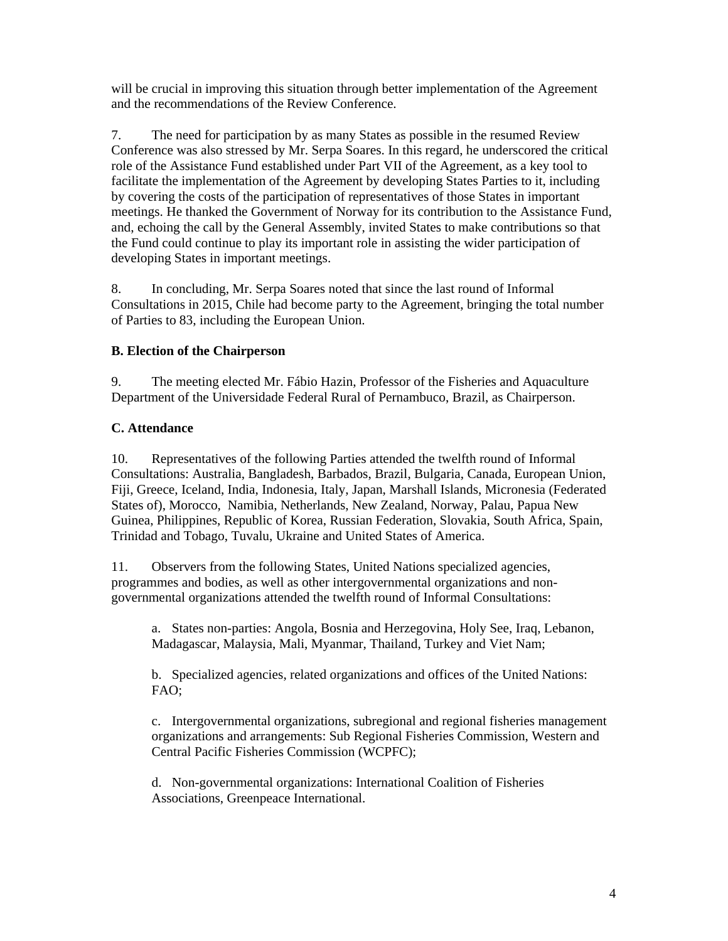will be crucial in improving this situation through better implementation of the Agreement and the recommendations of the Review Conference.

7. The need for participation by as many States as possible in the resumed Review Conference was also stressed by Mr. Serpa Soares. In this regard, he underscored the critical role of the Assistance Fund established under Part VII of the Agreement, as a key tool to facilitate the implementation of the Agreement by developing States Parties to it, including by covering the costs of the participation of representatives of those States in important meetings. He thanked the Government of Norway for its contribution to the Assistance Fund, and, echoing the call by the General Assembly, invited States to make contributions so that the Fund could continue to play its important role in assisting the wider participation of developing States in important meetings.

8. In concluding, Mr. Serpa Soares noted that since the last round of Informal Consultations in 2015, Chile had become party to the Agreement, bringing the total number of Parties to 83, including the European Union.

## **B. Election of the Chairperson**

9. The meeting elected Mr. Fábio Hazin, Professor of the Fisheries and Aquaculture Department of the Universidade Federal Rural of Pernambuco, Brazil, as Chairperson.

## **C. Attendance**

10. Representatives of the following Parties attended the twelfth round of Informal Consultations: Australia, Bangladesh, Barbados, Brazil, Bulgaria, Canada, European Union, Fiji, Greece, Iceland, India, Indonesia, Italy, Japan, Marshall Islands, Micronesia (Federated States of), Morocco, Namibia, Netherlands, New Zealand, Norway, Palau, Papua New Guinea, Philippines, Republic of Korea, Russian Federation, Slovakia, South Africa, Spain, Trinidad and Tobago, Tuvalu, Ukraine and United States of America.

11. Observers from the following States, United Nations specialized agencies, programmes and bodies, as well as other intergovernmental organizations and nongovernmental organizations attended the twelfth round of Informal Consultations:

a. States non-parties: Angola, Bosnia and Herzegovina, Holy See, Iraq, Lebanon, Madagascar, Malaysia, Mali, Myanmar, Thailand, Turkey and Viet Nam;

b. Specialized agencies, related organizations and offices of the United Nations: FAO;

c. Intergovernmental organizations, subregional and regional fisheries management organizations and arrangements: Sub Regional Fisheries Commission, Western and Central Pacific Fisheries Commission (WCPFC);

d. Non-governmental organizations: International Coalition of Fisheries Associations, Greenpeace International.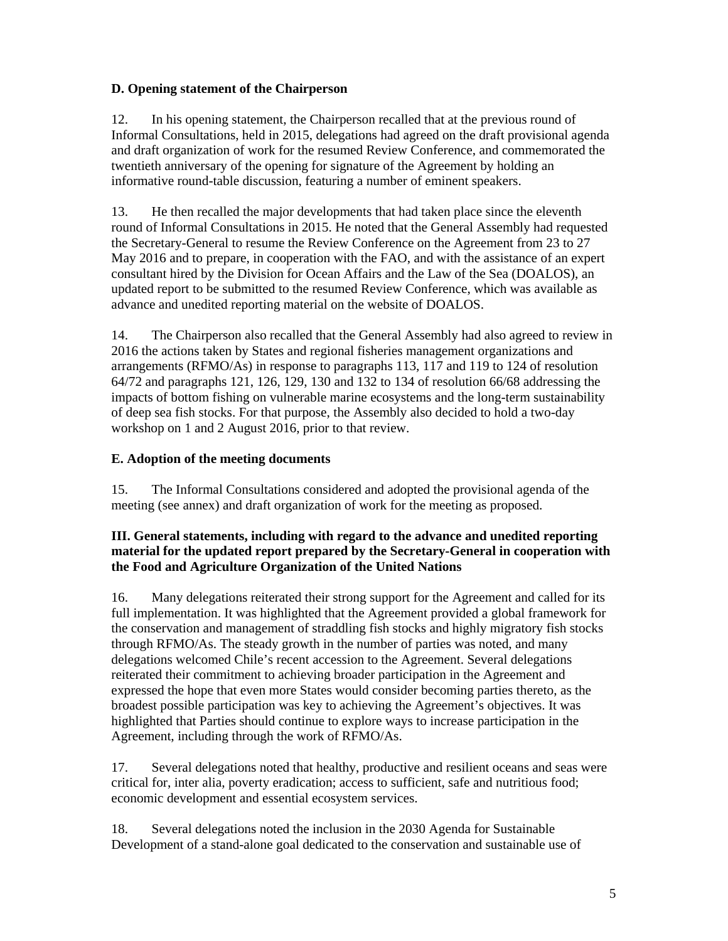## **D. Opening statement of the Chairperson**

12. In his opening statement, the Chairperson recalled that at the previous round of Informal Consultations, held in 2015, delegations had agreed on the draft provisional agenda and draft organization of work for the resumed Review Conference, and commemorated the twentieth anniversary of the opening for signature of the Agreement by holding an informative round-table discussion, featuring a number of eminent speakers.

13. He then recalled the major developments that had taken place since the eleventh round of Informal Consultations in 2015. He noted that the General Assembly had requested the Secretary-General to resume the Review Conference on the Agreement from 23 to 27 May 2016 and to prepare, in cooperation with the FAO, and with the assistance of an expert consultant hired by the Division for Ocean Affairs and the Law of the Sea (DOALOS), an updated report to be submitted to the resumed Review Conference, which was available as advance and unedited reporting material on the website of DOALOS.

14. The Chairperson also recalled that the General Assembly had also agreed to review in 2016 the actions taken by States and regional fisheries management organizations and arrangements (RFMO/As) in response to paragraphs 113, 117 and 119 to 124 of resolution 64/72 and paragraphs 121, 126, 129, 130 and 132 to 134 of resolution 66/68 addressing the impacts of bottom fishing on vulnerable marine ecosystems and the long-term sustainability of deep sea fish stocks. For that purpose, the Assembly also decided to hold a two-day workshop on 1 and 2 August 2016, prior to that review.

#### **E. Adoption of the meeting documents**

15. The Informal Consultations considered and adopted the provisional agenda of the meeting (see annex) and draft organization of work for the meeting as proposed.

## **III. General statements, including with regard to the advance and unedited reporting material for the updated report prepared by the Secretary-General in cooperation with the Food and Agriculture Organization of the United Nations**

16. Many delegations reiterated their strong support for the Agreement and called for its full implementation. It was highlighted that the Agreement provided a global framework for the conservation and management of straddling fish stocks and highly migratory fish stocks through RFMO/As. The steady growth in the number of parties was noted, and many delegations welcomed Chile's recent accession to the Agreement. Several delegations reiterated their commitment to achieving broader participation in the Agreement and expressed the hope that even more States would consider becoming parties thereto, as the broadest possible participation was key to achieving the Agreement's objectives. It was highlighted that Parties should continue to explore ways to increase participation in the Agreement, including through the work of RFMO/As.

17. Several delegations noted that healthy, productive and resilient oceans and seas were critical for, inter alia, poverty eradication; access to sufficient, safe and nutritious food; economic development and essential ecosystem services.

18. Several delegations noted the inclusion in the 2030 Agenda for Sustainable Development of a stand-alone goal dedicated to the conservation and sustainable use of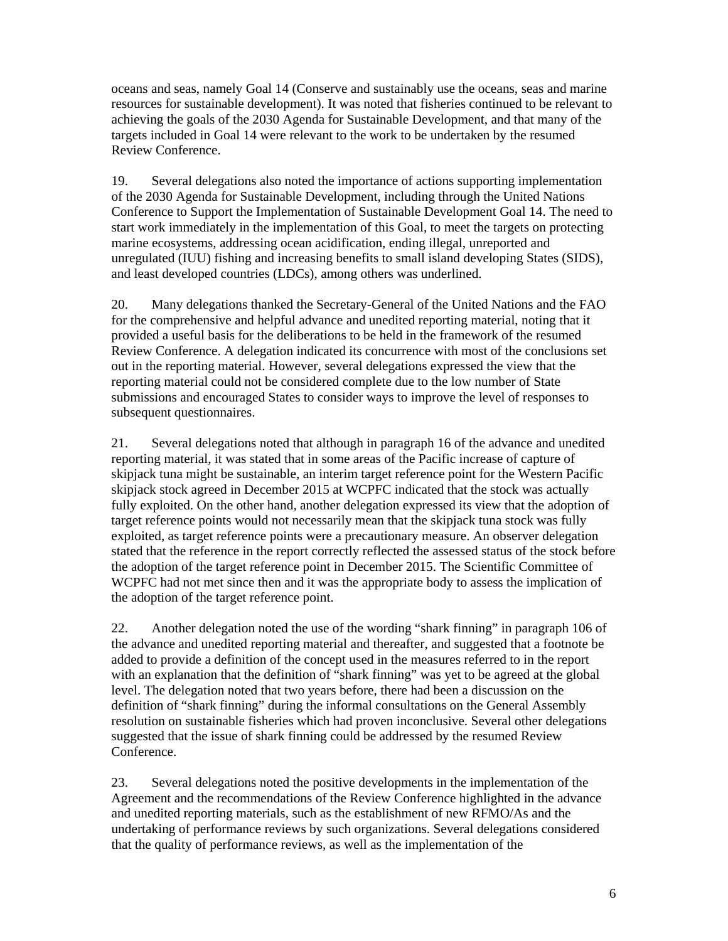oceans and seas, namely Goal 14 (Conserve and sustainably use the oceans, seas and marine resources for sustainable development). It was noted that fisheries continued to be relevant to achieving the goals of the 2030 Agenda for Sustainable Development, and that many of the targets included in Goal 14 were relevant to the work to be undertaken by the resumed Review Conference.

19. Several delegations also noted the importance of actions supporting implementation of the 2030 Agenda for Sustainable Development, including through the United Nations Conference to Support the Implementation of Sustainable Development Goal 14. The need to start work immediately in the implementation of this Goal, to meet the targets on protecting marine ecosystems, addressing ocean acidification, ending illegal, unreported and unregulated (IUU) fishing and increasing benefits to small island developing States (SIDS), and least developed countries (LDCs), among others was underlined.

20. Many delegations thanked the Secretary-General of the United Nations and the FAO for the comprehensive and helpful advance and unedited reporting material, noting that it provided a useful basis for the deliberations to be held in the framework of the resumed Review Conference. A delegation indicated its concurrence with most of the conclusions set out in the reporting material. However, several delegations expressed the view that the reporting material could not be considered complete due to the low number of State submissions and encouraged States to consider ways to improve the level of responses to subsequent questionnaires.

21. Several delegations noted that although in paragraph 16 of the advance and unedited reporting material, it was stated that in some areas of the Pacific increase of capture of skipjack tuna might be sustainable, an interim target reference point for the Western Pacific skipjack stock agreed in December 2015 at WCPFC indicated that the stock was actually fully exploited. On the other hand, another delegation expressed its view that the adoption of target reference points would not necessarily mean that the skipjack tuna stock was fully exploited, as target reference points were a precautionary measure. An observer delegation stated that the reference in the report correctly reflected the assessed status of the stock before the adoption of the target reference point in December 2015. The Scientific Committee of WCPFC had not met since then and it was the appropriate body to assess the implication of the adoption of the target reference point.

22. Another delegation noted the use of the wording "shark finning" in paragraph 106 of the advance and unedited reporting material and thereafter, and suggested that a footnote be added to provide a definition of the concept used in the measures referred to in the report with an explanation that the definition of "shark finning" was yet to be agreed at the global level. The delegation noted that two years before, there had been a discussion on the definition of "shark finning" during the informal consultations on the General Assembly resolution on sustainable fisheries which had proven inconclusive. Several other delegations suggested that the issue of shark finning could be addressed by the resumed Review Conference.

23. Several delegations noted the positive developments in the implementation of the Agreement and the recommendations of the Review Conference highlighted in the advance and unedited reporting materials, such as the establishment of new RFMO/As and the undertaking of performance reviews by such organizations. Several delegations considered that the quality of performance reviews, as well as the implementation of the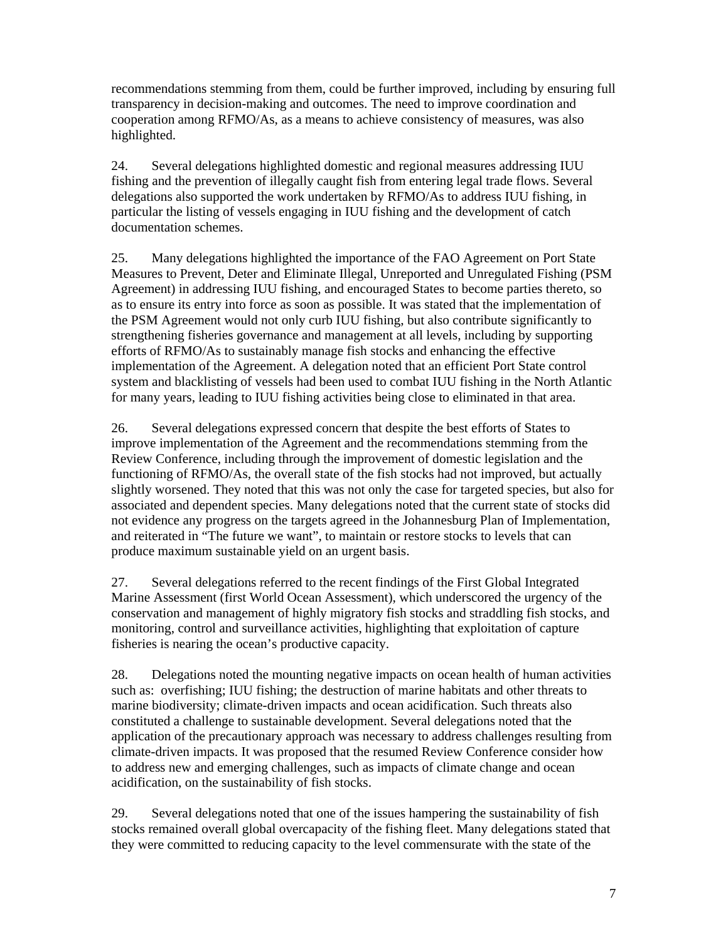recommendations stemming from them, could be further improved, including by ensuring full transparency in decision-making and outcomes. The need to improve coordination and cooperation among RFMO/As, as a means to achieve consistency of measures, was also highlighted.

24. Several delegations highlighted domestic and regional measures addressing IUU fishing and the prevention of illegally caught fish from entering legal trade flows. Several delegations also supported the work undertaken by RFMO/As to address IUU fishing, in particular the listing of vessels engaging in IUU fishing and the development of catch documentation schemes.

25. Many delegations highlighted the importance of the FAO Agreement on Port State Measures to Prevent, Deter and Eliminate Illegal, Unreported and Unregulated Fishing (PSM Agreement) in addressing IUU fishing, and encouraged States to become parties thereto, so as to ensure its entry into force as soon as possible. It was stated that the implementation of the PSM Agreement would not only curb IUU fishing, but also contribute significantly to strengthening fisheries governance and management at all levels, including by supporting efforts of RFMO/As to sustainably manage fish stocks and enhancing the effective implementation of the Agreement. A delegation noted that an efficient Port State control system and blacklisting of vessels had been used to combat IUU fishing in the North Atlantic for many years, leading to IUU fishing activities being close to eliminated in that area.

26. Several delegations expressed concern that despite the best efforts of States to improve implementation of the Agreement and the recommendations stemming from the Review Conference, including through the improvement of domestic legislation and the functioning of RFMO/As, the overall state of the fish stocks had not improved, but actually slightly worsened. They noted that this was not only the case for targeted species, but also for associated and dependent species. Many delegations noted that the current state of stocks did not evidence any progress on the targets agreed in the Johannesburg Plan of Implementation, and reiterated in "The future we want", to maintain or restore stocks to levels that can produce maximum sustainable yield on an urgent basis.

27. Several delegations referred to the recent findings of the First Global Integrated Marine Assessment (first World Ocean Assessment), which underscored the urgency of the conservation and management of highly migratory fish stocks and straddling fish stocks, and monitoring, control and surveillance activities, highlighting that exploitation of capture fisheries is nearing the ocean's productive capacity.

28. Delegations noted the mounting negative impacts on ocean health of human activities such as: overfishing; IUU fishing; the destruction of marine habitats and other threats to marine biodiversity; climate-driven impacts and ocean acidification. Such threats also constituted a challenge to sustainable development. Several delegations noted that the application of the precautionary approach was necessary to address challenges resulting from climate-driven impacts. It was proposed that the resumed Review Conference consider how to address new and emerging challenges, such as impacts of climate change and ocean acidification, on the sustainability of fish stocks.

29. Several delegations noted that one of the issues hampering the sustainability of fish stocks remained overall global overcapacity of the fishing fleet. Many delegations stated that they were committed to reducing capacity to the level commensurate with the state of the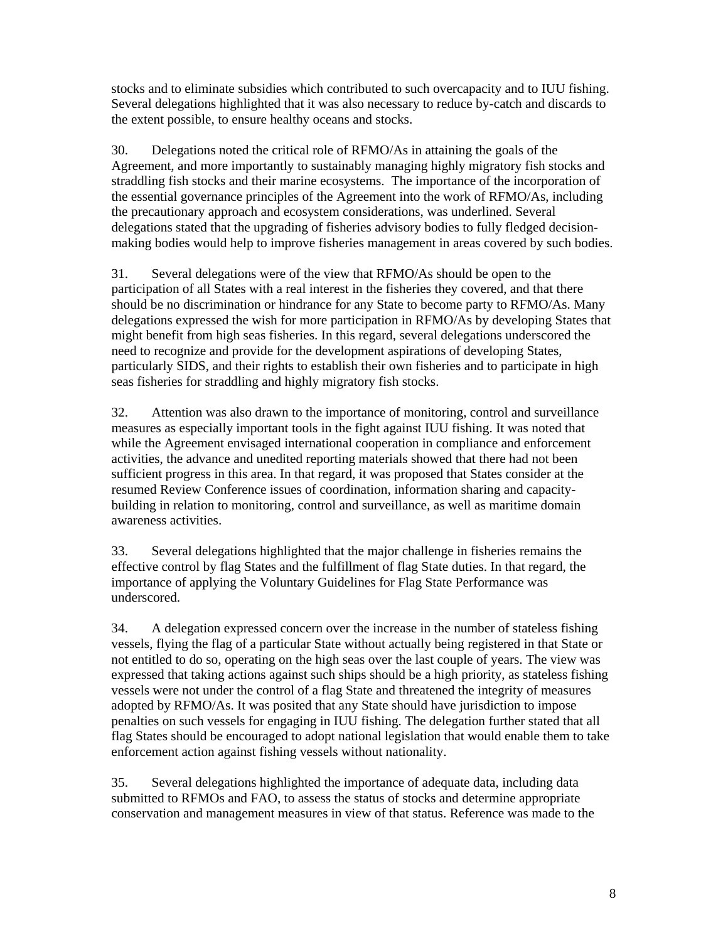stocks and to eliminate subsidies which contributed to such overcapacity and to IUU fishing. Several delegations highlighted that it was also necessary to reduce by-catch and discards to the extent possible, to ensure healthy oceans and stocks.

30. Delegations noted the critical role of RFMO/As in attaining the goals of the Agreement, and more importantly to sustainably managing highly migratory fish stocks and straddling fish stocks and their marine ecosystems. The importance of the incorporation of the essential governance principles of the Agreement into the work of RFMO/As, including the precautionary approach and ecosystem considerations, was underlined. Several delegations stated that the upgrading of fisheries advisory bodies to fully fledged decisionmaking bodies would help to improve fisheries management in areas covered by such bodies.

31. Several delegations were of the view that RFMO/As should be open to the participation of all States with a real interest in the fisheries they covered, and that there should be no discrimination or hindrance for any State to become party to RFMO/As. Many delegations expressed the wish for more participation in RFMO/As by developing States that might benefit from high seas fisheries. In this regard, several delegations underscored the need to recognize and provide for the development aspirations of developing States, particularly SIDS, and their rights to establish their own fisheries and to participate in high seas fisheries for straddling and highly migratory fish stocks.

32. Attention was also drawn to the importance of monitoring, control and surveillance measures as especially important tools in the fight against IUU fishing. It was noted that while the Agreement envisaged international cooperation in compliance and enforcement activities, the advance and unedited reporting materials showed that there had not been sufficient progress in this area. In that regard, it was proposed that States consider at the resumed Review Conference issues of coordination, information sharing and capacitybuilding in relation to monitoring, control and surveillance, as well as maritime domain awareness activities.

33. Several delegations highlighted that the major challenge in fisheries remains the effective control by flag States and the fulfillment of flag State duties. In that regard, the importance of applying the Voluntary Guidelines for Flag State Performance was underscored.

34. A delegation expressed concern over the increase in the number of stateless fishing vessels, flying the flag of a particular State without actually being registered in that State or not entitled to do so, operating on the high seas over the last couple of years. The view was expressed that taking actions against such ships should be a high priority, as stateless fishing vessels were not under the control of a flag State and threatened the integrity of measures adopted by RFMO/As. It was posited that any State should have jurisdiction to impose penalties on such vessels for engaging in IUU fishing. The delegation further stated that all flag States should be encouraged to adopt national legislation that would enable them to take enforcement action against fishing vessels without nationality.

35. Several delegations highlighted the importance of adequate data, including data submitted to RFMOs and FAO, to assess the status of stocks and determine appropriate conservation and management measures in view of that status. Reference was made to the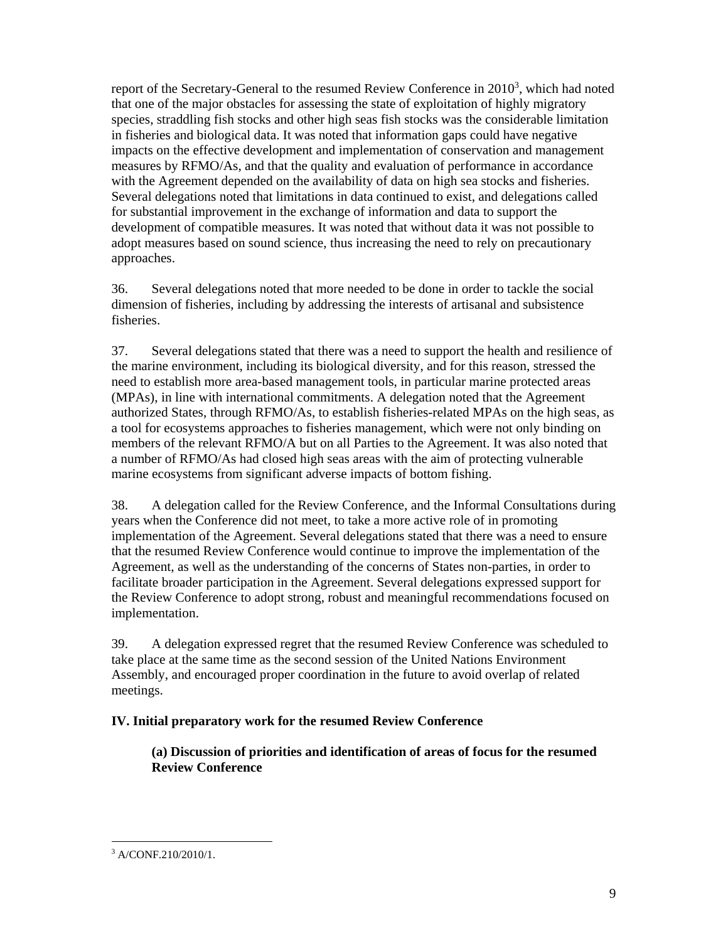report of the Secretary-General to the resumed Review Conference in  $2010<sup>3</sup>$ , which had noted that one of the major obstacles for assessing the state of exploitation of highly migratory species, straddling fish stocks and other high seas fish stocks was the considerable limitation in fisheries and biological data. It was noted that information gaps could have negative impacts on the effective development and implementation of conservation and management measures by RFMO/As, and that the quality and evaluation of performance in accordance with the Agreement depended on the availability of data on high sea stocks and fisheries. Several delegations noted that limitations in data continued to exist, and delegations called for substantial improvement in the exchange of information and data to support the development of compatible measures. It was noted that without data it was not possible to adopt measures based on sound science, thus increasing the need to rely on precautionary approaches.

36. Several delegations noted that more needed to be done in order to tackle the social dimension of fisheries, including by addressing the interests of artisanal and subsistence fisheries.

37. Several delegations stated that there was a need to support the health and resilience of the marine environment, including its biological diversity, and for this reason, stressed the need to establish more area-based management tools, in particular marine protected areas (MPAs), in line with international commitments. A delegation noted that the Agreement authorized States, through RFMO/As, to establish fisheries-related MPAs on the high seas, as a tool for ecosystems approaches to fisheries management, which were not only binding on members of the relevant RFMO/A but on all Parties to the Agreement. It was also noted that a number of RFMO/As had closed high seas areas with the aim of protecting vulnerable marine ecosystems from significant adverse impacts of bottom fishing.

38. A delegation called for the Review Conference, and the Informal Consultations during years when the Conference did not meet, to take a more active role of in promoting implementation of the Agreement. Several delegations stated that there was a need to ensure that the resumed Review Conference would continue to improve the implementation of the Agreement, as well as the understanding of the concerns of States non-parties, in order to facilitate broader participation in the Agreement. Several delegations expressed support for the Review Conference to adopt strong, robust and meaningful recommendations focused on implementation.

39. A delegation expressed regret that the resumed Review Conference was scheduled to take place at the same time as the second session of the United Nations Environment Assembly, and encouraged proper coordination in the future to avoid overlap of related meetings.

#### **IV. Initial preparatory work for the resumed Review Conference**

**(a) Discussion of priorities and identification of areas of focus for the resumed Review Conference** 

<sup>-</sup>3 A/CONF.210/2010/1.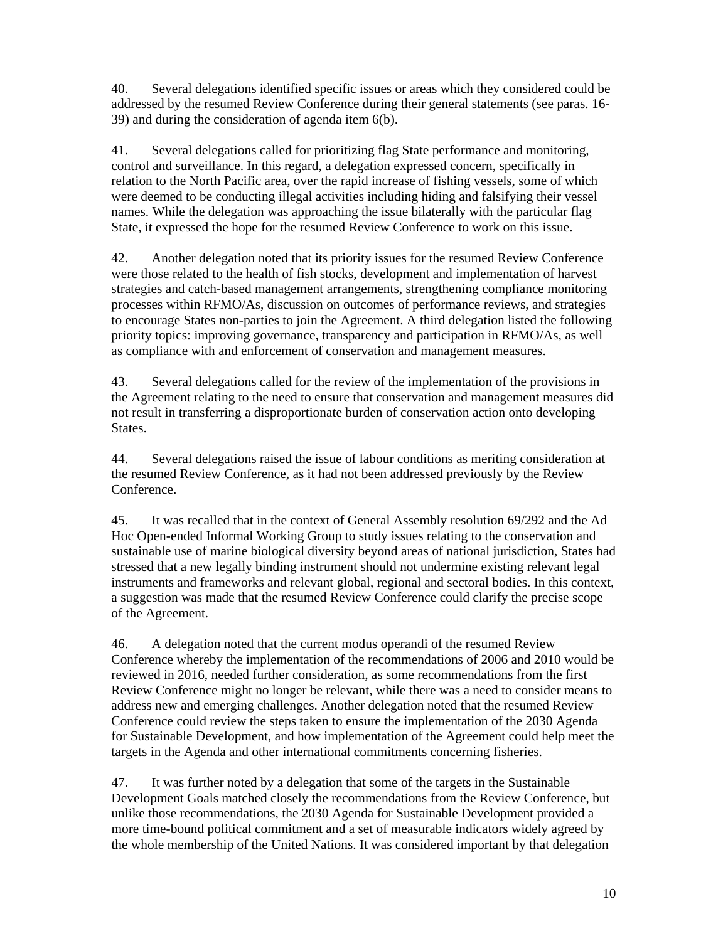40. Several delegations identified specific issues or areas which they considered could be addressed by the resumed Review Conference during their general statements (see paras. 16- 39) and during the consideration of agenda item 6(b).

41. Several delegations called for prioritizing flag State performance and monitoring, control and surveillance. In this regard, a delegation expressed concern, specifically in relation to the North Pacific area, over the rapid increase of fishing vessels, some of which were deemed to be conducting illegal activities including hiding and falsifying their vessel names. While the delegation was approaching the issue bilaterally with the particular flag State, it expressed the hope for the resumed Review Conference to work on this issue.

42. Another delegation noted that its priority issues for the resumed Review Conference were those related to the health of fish stocks, development and implementation of harvest strategies and catch-based management arrangements, strengthening compliance monitoring processes within RFMO/As, discussion on outcomes of performance reviews, and strategies to encourage States non-parties to join the Agreement. A third delegation listed the following priority topics: improving governance, transparency and participation in RFMO/As, as well as compliance with and enforcement of conservation and management measures.

43. Several delegations called for the review of the implementation of the provisions in the Agreement relating to the need to ensure that conservation and management measures did not result in transferring a disproportionate burden of conservation action onto developing **States** 

44. Several delegations raised the issue of labour conditions as meriting consideration at the resumed Review Conference, as it had not been addressed previously by the Review Conference.

45. It was recalled that in the context of General Assembly resolution 69/292 and the Ad Hoc Open-ended Informal Working Group to study issues relating to the conservation and sustainable use of marine biological diversity beyond areas of national jurisdiction, States had stressed that a new legally binding instrument should not undermine existing relevant legal instruments and frameworks and relevant global, regional and sectoral bodies. In this context, a suggestion was made that the resumed Review Conference could clarify the precise scope of the Agreement.

46. A delegation noted that the current modus operandi of the resumed Review Conference whereby the implementation of the recommendations of 2006 and 2010 would be reviewed in 2016, needed further consideration, as some recommendations from the first Review Conference might no longer be relevant, while there was a need to consider means to address new and emerging challenges. Another delegation noted that the resumed Review Conference could review the steps taken to ensure the implementation of the 2030 Agenda for Sustainable Development, and how implementation of the Agreement could help meet the targets in the Agenda and other international commitments concerning fisheries.

47. It was further noted by a delegation that some of the targets in the Sustainable Development Goals matched closely the recommendations from the Review Conference, but unlike those recommendations, the 2030 Agenda for Sustainable Development provided a more time-bound political commitment and a set of measurable indicators widely agreed by the whole membership of the United Nations. It was considered important by that delegation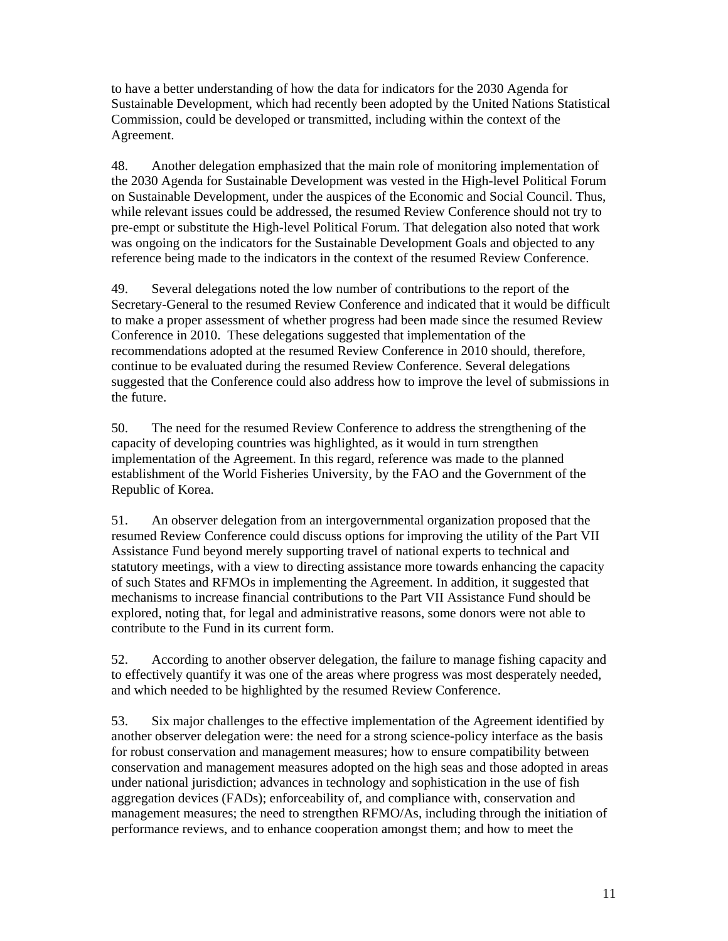to have a better understanding of how the data for indicators for the 2030 Agenda for Sustainable Development, which had recently been adopted by the United Nations Statistical Commission, could be developed or transmitted, including within the context of the Agreement.

48. Another delegation emphasized that the main role of monitoring implementation of the 2030 Agenda for Sustainable Development was vested in the High-level Political Forum on Sustainable Development, under the auspices of the Economic and Social Council. Thus, while relevant issues could be addressed, the resumed Review Conference should not try to pre-empt or substitute the High-level Political Forum. That delegation also noted that work was ongoing on the indicators for the Sustainable Development Goals and objected to any reference being made to the indicators in the context of the resumed Review Conference.

49. Several delegations noted the low number of contributions to the report of the Secretary-General to the resumed Review Conference and indicated that it would be difficult to make a proper assessment of whether progress had been made since the resumed Review Conference in 2010. These delegations suggested that implementation of the recommendations adopted at the resumed Review Conference in 2010 should, therefore, continue to be evaluated during the resumed Review Conference. Several delegations suggested that the Conference could also address how to improve the level of submissions in the future.

50. The need for the resumed Review Conference to address the strengthening of the capacity of developing countries was highlighted, as it would in turn strengthen implementation of the Agreement. In this regard, reference was made to the planned establishment of the World Fisheries University, by the FAO and the Government of the Republic of Korea.

51. An observer delegation from an intergovernmental organization proposed that the resumed Review Conference could discuss options for improving the utility of the Part VII Assistance Fund beyond merely supporting travel of national experts to technical and statutory meetings, with a view to directing assistance more towards enhancing the capacity of such States and RFMOs in implementing the Agreement. In addition, it suggested that mechanisms to increase financial contributions to the Part VII Assistance Fund should be explored, noting that, for legal and administrative reasons, some donors were not able to contribute to the Fund in its current form.

52. According to another observer delegation, the failure to manage fishing capacity and to effectively quantify it was one of the areas where progress was most desperately needed, and which needed to be highlighted by the resumed Review Conference.

53. Six major challenges to the effective implementation of the Agreement identified by another observer delegation were: the need for a strong science-policy interface as the basis for robust conservation and management measures; how to ensure compatibility between conservation and management measures adopted on the high seas and those adopted in areas under national jurisdiction; advances in technology and sophistication in the use of fish aggregation devices (FADs); enforceability of, and compliance with, conservation and management measures; the need to strengthen RFMO/As, including through the initiation of performance reviews, and to enhance cooperation amongst them; and how to meet the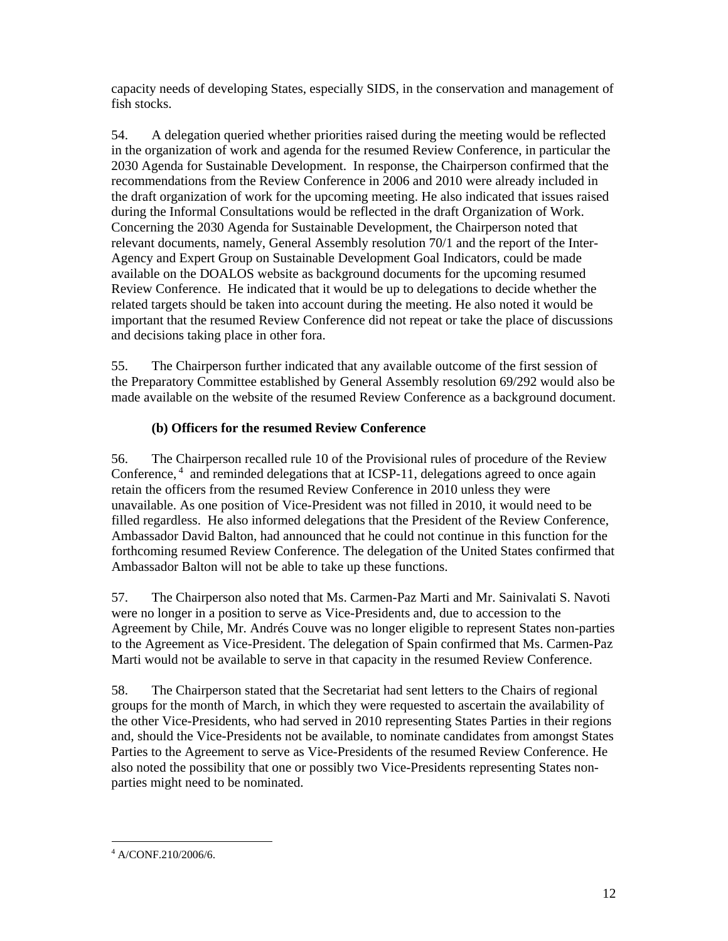capacity needs of developing States, especially SIDS, in the conservation and management of fish stocks.

54. A delegation queried whether priorities raised during the meeting would be reflected in the organization of work and agenda for the resumed Review Conference, in particular the 2030 Agenda for Sustainable Development. In response, the Chairperson confirmed that the recommendations from the Review Conference in 2006 and 2010 were already included in the draft organization of work for the upcoming meeting. He also indicated that issues raised during the Informal Consultations would be reflected in the draft Organization of Work. Concerning the 2030 Agenda for Sustainable Development, the Chairperson noted that relevant documents, namely, General Assembly resolution 70/1 and the report of the Inter-Agency and Expert Group on Sustainable Development Goal Indicators, could be made available on the DOALOS website as background documents for the upcoming resumed Review Conference. He indicated that it would be up to delegations to decide whether the related targets should be taken into account during the meeting. He also noted it would be important that the resumed Review Conference did not repeat or take the place of discussions and decisions taking place in other fora.

55. The Chairperson further indicated that any available outcome of the first session of the Preparatory Committee established by General Assembly resolution 69/292 would also be made available on the website of the resumed Review Conference as a background document.

# **(b) Officers for the resumed Review Conference**

56. The Chairperson recalled rule 10 of the Provisional rules of procedure of the Review Conference,<sup>4</sup> and reminded delegations that at ICSP-11, delegations agreed to once again retain the officers from the resumed Review Conference in 2010 unless they were unavailable. As one position of Vice-President was not filled in 2010, it would need to be filled regardless. He also informed delegations that the President of the Review Conference, Ambassador David Balton, had announced that he could not continue in this function for the forthcoming resumed Review Conference. The delegation of the United States confirmed that Ambassador Balton will not be able to take up these functions.

57. The Chairperson also noted that Ms. Carmen-Paz Marti and Mr. Sainivalati S. Navoti were no longer in a position to serve as Vice-Presidents and, due to accession to the Agreement by Chile, Mr. Andrés Couve was no longer eligible to represent States non-parties to the Agreement as Vice-President. The delegation of Spain confirmed that Ms. Carmen-Paz Marti would not be available to serve in that capacity in the resumed Review Conference.

58. The Chairperson stated that the Secretariat had sent letters to the Chairs of regional groups for the month of March, in which they were requested to ascertain the availability of the other Vice-Presidents, who had served in 2010 representing States Parties in their regions and, should the Vice-Presidents not be available, to nominate candidates from amongst States Parties to the Agreement to serve as Vice-Presidents of the resumed Review Conference. He also noted the possibility that one or possibly two Vice-Presidents representing States nonparties might need to be nominated.

<sup>-</sup>4 A/CONF.210/2006/6.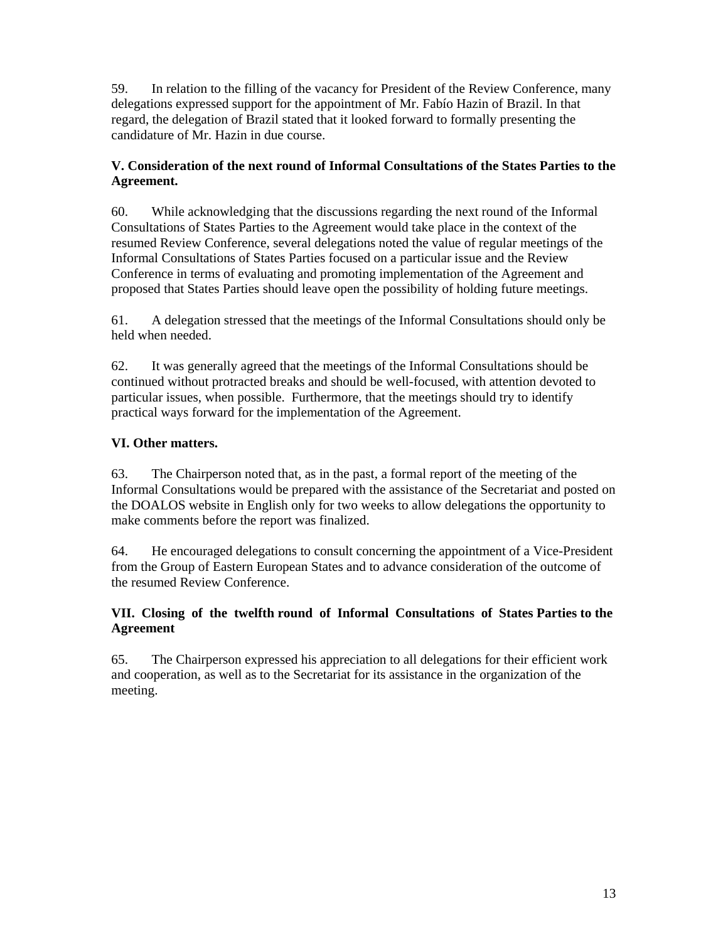59. In relation to the filling of the vacancy for President of the Review Conference, many delegations expressed support for the appointment of Mr. Fabío Hazin of Brazil. In that regard, the delegation of Brazil stated that it looked forward to formally presenting the candidature of Mr. Hazin in due course.

#### **V. Consideration of the next round of Informal Consultations of the States Parties to the Agreement.**

60. While acknowledging that the discussions regarding the next round of the Informal Consultations of States Parties to the Agreement would take place in the context of the resumed Review Conference, several delegations noted the value of regular meetings of the Informal Consultations of States Parties focused on a particular issue and the Review Conference in terms of evaluating and promoting implementation of the Agreement and proposed that States Parties should leave open the possibility of holding future meetings.

61. A delegation stressed that the meetings of the Informal Consultations should only be held when needed.

62. It was generally agreed that the meetings of the Informal Consultations should be continued without protracted breaks and should be well-focused, with attention devoted to particular issues, when possible. Furthermore, that the meetings should try to identify practical ways forward for the implementation of the Agreement.

# **VI. Other matters.**

63. The Chairperson noted that, as in the past, a formal report of the meeting of the Informal Consultations would be prepared with the assistance of the Secretariat and posted on the DOALOS website in English only for two weeks to allow delegations the opportunity to make comments before the report was finalized.

64. He encouraged delegations to consult concerning the appointment of a Vice-President from the Group of Eastern European States and to advance consideration of the outcome of the resumed Review Conference.

#### **VII. Closing of the twelfth round of Informal Consultations of States Parties to the Agreement**

65. The Chairperson expressed his appreciation to all delegations for their efficient work and cooperation, as well as to the Secretariat for its assistance in the organization of the meeting.